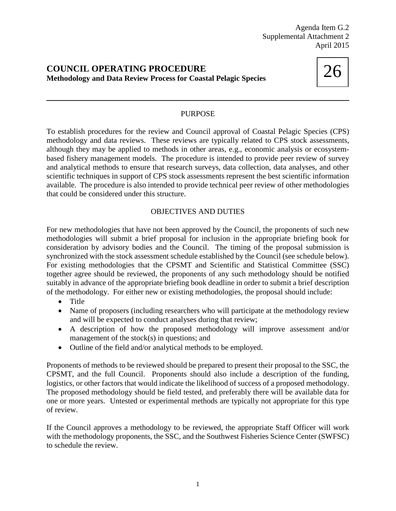## **COUNCIL OPERATING PROCEDURE Methodology and Data Review Process for Coastal Pelagic Species**



## PURPOSE

To establish procedures for the review and Council approval of Coastal Pelagic Species (CPS) methodology and data reviews. These reviews are typically related to CPS stock assessments, although they may be applied to methods in other areas, e.g., economic analysis or ecosystembased fishery management models. The procedure is intended to provide peer review of survey and analytical methods to ensure that research surveys, data collection, data analyses, and other scientific techniques in support of CPS stock assessments represent the best scientific information available. The procedure is also intended to provide technical peer review of other methodologies that could be considered under this structure.

## OBJECTIVES AND DUTIES

For new methodologies that have not been approved by the Council, the proponents of such new methodologies will submit a brief proposal for inclusion in the appropriate briefing book for consideration by advisory bodies and the Council. The timing of the proposal submission is synchronized with the stock assessment schedule established by the Council (see schedule below). For existing methodologies that the CPSMT and Scientific and Statistical Committee (SSC) together agree should be reviewed, the proponents of any such methodology should be notified suitably in advance of the appropriate briefing book deadline in order to submit a brief description of the methodology. For either new or existing methodologies, the proposal should include:

- Title
- Name of proposers (including researchers who will participate at the methodology review and will be expected to conduct analyses during that review;
- A description of how the proposed methodology will improve assessment and/or management of the stock(s) in questions; and
- Outline of the field and/or analytical methods to be employed.

Proponents of methods to be reviewed should be prepared to present their proposal to the SSC, the CPSMT, and the full Council. Proponents should also include a description of the funding, logistics, or other factors that would indicate the likelihood of success of a proposed methodology. The proposed methodology should be field tested, and preferably there will be available data for one or more years. Untested or experimental methods are typically not appropriate for this type of review.

If the Council approves a methodology to be reviewed, the appropriate Staff Officer will work with the methodology proponents, the SSC, and the Southwest Fisheries Science Center (SWFSC) to schedule the review.